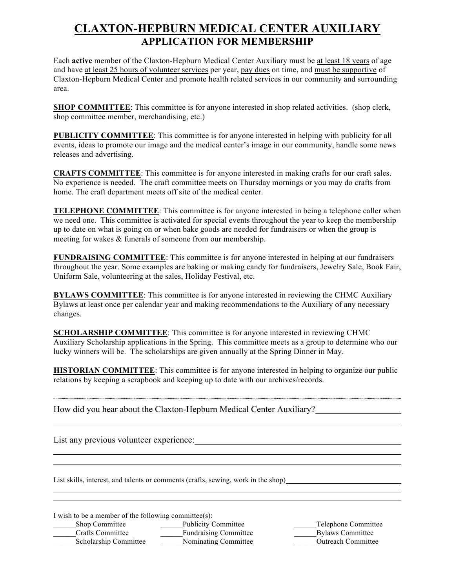## **CLAXTON-HEPBURN MEDICAL CENTER AUXILIARY APPLICATION FOR MEMBERSHIP**

Each **active** member of the Claxton-Hepburn Medical Center Auxiliary must be at least 18 years of age and have at least 25 hours of volunteer services per year, pay dues on time, and must be supportive of Claxton-Hepburn Medical Center and promote health related services in our community and surrounding area.

**SHOP COMMITTEE**: This committee is for anyone interested in shop related activities. (shop clerk, shop committee member, merchandising, etc.)

**PUBLICITY COMMITTEE**: This committee is for anyone interested in helping with publicity for all events, ideas to promote our image and the medical center's image in our community, handle some news releases and advertising.

**CRAFTS COMMITTEE**: This committee is for anyone interested in making crafts for our craft sales. No experience is needed. The craft committee meets on Thursday mornings or you may do crafts from home. The craft department meets off site of the medical center.

**TELEPHONE COMMITTEE**: This committee is for anyone interested in being a telephone caller when we need one. This committee is activated for special events throughout the year to keep the membership up to date on what is going on or when bake goods are needed for fundraisers or when the group is meeting for wakes & funerals of someone from our membership.

**FUNDRAISING COMMITTEE**: This committee is for anyone interested in helping at our fundraisers throughout the year. Some examples are baking or making candy for fundraisers, Jewelry Sale, Book Fair, Uniform Sale, volunteering at the sales, Holiday Festival, etc.

**BYLAWS COMMITTEE**: This committee is for anyone interested in reviewing the CHMC Auxiliary Bylaws at least once per calendar year and making recommendations to the Auxiliary of any necessary changes.

**SCHOLARSHIP COMMITTEE:** This committee is for anyone interested in reviewing CHMC Auxiliary Scholarship applications in the Spring. This committee meets as a group to determine who our lucky winners will be. The scholarships are given annually at the Spring Dinner in May.

**HISTORIAN COMMITTEE**: This committee is for anyone interested in helping to organize our public relations by keeping a scrapbook and keeping up to date with our archives/records.

How did you hear about the Claxton-Hepburn Medical Center Auxiliary?

List any previous volunteer experience:

List skills, interest, and talents or comments (crafts, sewing, work in the shop)

I wish to be a member of the following committee(s):

Let us bop Committee **Example 2** Publicity Committee **Example 2** Telephone Committee \_\_\_\_\_\_Crafts Committee \_\_\_\_\_\_Fundraising Committee \_\_\_\_\_\_Bylaws Committee Scholarship Committee **Nominating Committee Confluence** Outreach Committee